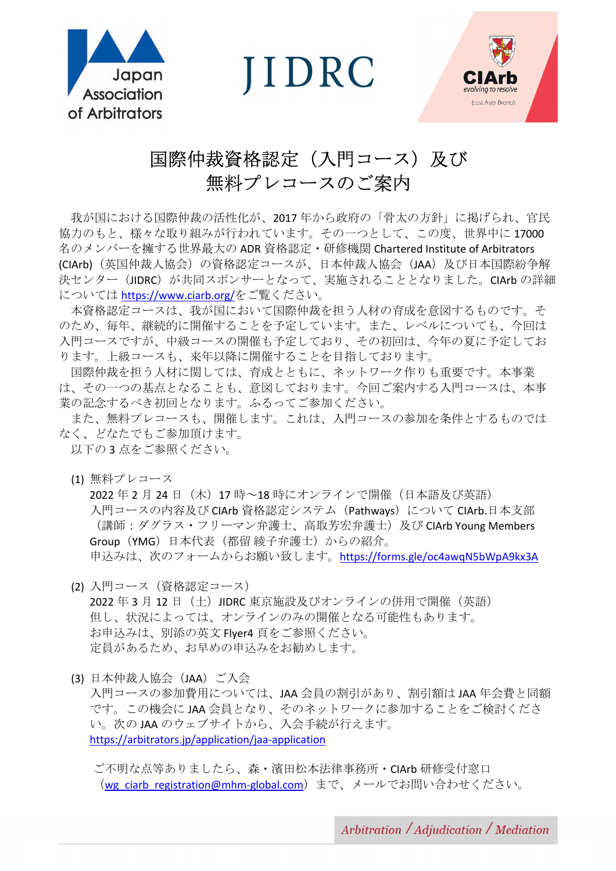

**IIDRC** 



# 国際仲裁資格認定(入門コース)及び 無料プレコースのご案内

 我が国における国際仲裁の活性化が、2017 年から政府の「骨太の方針」に掲げられ、官民 協力のもと、様々な取り組みが行われています。その一つとして、この度、世界中に 17000 名のメンバーを擁する世界最大の ADR 資格認定・研修機関 Chartered Institute of Arbitrators (CIArb)(英国仲裁人協会)の資格認定コースが、日本仲裁人協会(JAA)及び日本国際紛争解 決センター(JIDRC)が共同スポンサーとなって、実施されることとなりました。CIArb の詳細 については https://www.ciarb.org/をご覧ください。

 本資格認定コースは、我が国において国際仲裁を担う人材の育成を意図するものです。そ のため、毎年、継続的に開催することを予定しています。また、レベルについても、今回は 入門コースですが、中級コースの開催も予定しており、その初回は、今年の夏に予定してお ります。上級コースも、来年以降に開催することを目指しております。

 国際仲裁を担う人材に関しては、育成とともに、ネットワーク作りも重要です。本事業 は、その一つの基点となることも、意図しております。今回ご案内する入門コースは、本事 業の記念するべき初回となります。ふるってご参加ください。

 また、無料プレコースも、開催します。これは、入門コースの参加を条件とするものでは なく、どなたでもご参加頂けます。

以下の3点をご参照ください。

(1) 無料プレコース

2022 年 2 月 24 日 (木) 17 時~18 時にオンラインで開催(日本語及び英語) 入門コースの内容及び CIArb 資格認定システム (Pathways) について CIArb.日本支部 (講師:ダグラス·フリーマン弁護士、高取芳宏弁護士)及び CIArb Young Members Group (YMG) 日本代表 (都留 綾子弁護士) からの紹介。 申込みは、次のフォームからお願い致します。https://forms.gle/oc4awqN5bWpA9kx3A

- (2) 入門コース(資格認定コース) 2022 年 3 月 12 日 (土) JIDRC 東京施設及びオンラインの併用で開催(英語) 但し、状況によっては、オンラインのみの開催となる可能性もあります。 お申込みは、別添の英文 Flyer4 頁をご参照ください。 定員があるため、お早めの申込みをお勧めします。
- (3) 日本仲裁人協会(JAA)ご入会

入門コースの参加費用については、JAA 会員の割引があり、割引額は JAA 年会費と同額 です。この機会に JAA 会員となり、そのネットワークに参加することをご検討くださ い。次の JAA のウェブサイトから、入会手続が行えます。 https://arbitrators.jp/application/jaa-application

ご不明な点等ありましたら、森・濱田松本法律事務所・CIArb 研修受付窓口 (wg\_ciarb\_registration@mhm-global.com)まで、メールでお問い合わせください。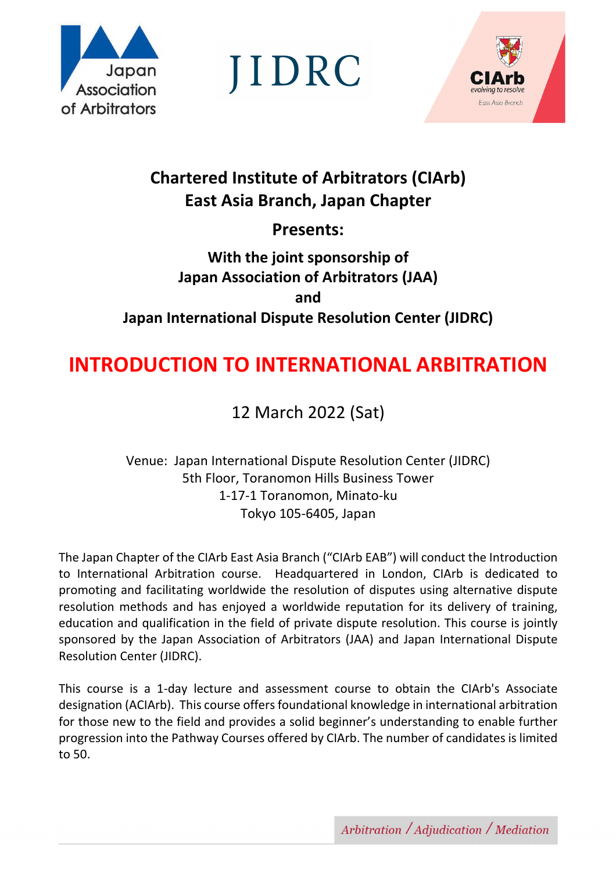

JIDRC



# **Chartered Institute of Arbitrators (CIArb) East Asia Branch, Japan Chapter**

**Presents:** 

# **With the joint sponsorship of Japan Association of Arbitrators (JAA) and Japan International Dispute Resolution Center (JIDRC)**

# **INTRODUCTION TO INTERNATIONAL ARBITRATION**

# 12 March 2022 (Sat)

Venue: Japan International Dispute Resolution Center (JIDRC) 5th Floor, Toranomon Hills Business Tower 1-17-1 Toranomon, Minato-ku Tokyo 105-6405, Japan

The Japan Chapter of the CIArb East Asia Branch ("CIArb EAB") will conduct the Introduction to International Arbitration course. Headquartered in London, CIArb is dedicated to promoting and facilitating worldwide the resolution of disputes using alternative dispute resolution methods and has enjoyed a worldwide reputation for its delivery of training, education and qualification in the field of private dispute resolution. This course is jointly sponsored by the Japan Association of Arbitrators (JAA) and Japan International Dispute Resolution Center (JIDRC).

This course is a 1-day lecture and assessment course to obtain the CIArb's Associate designation (ACIArb). This course offers foundational knowledge in international arbitration for those new to the field and provides a solid beginner's understanding to enable further progression into the Pathway Courses offered by CIArb. The number of candidates is limited to 50.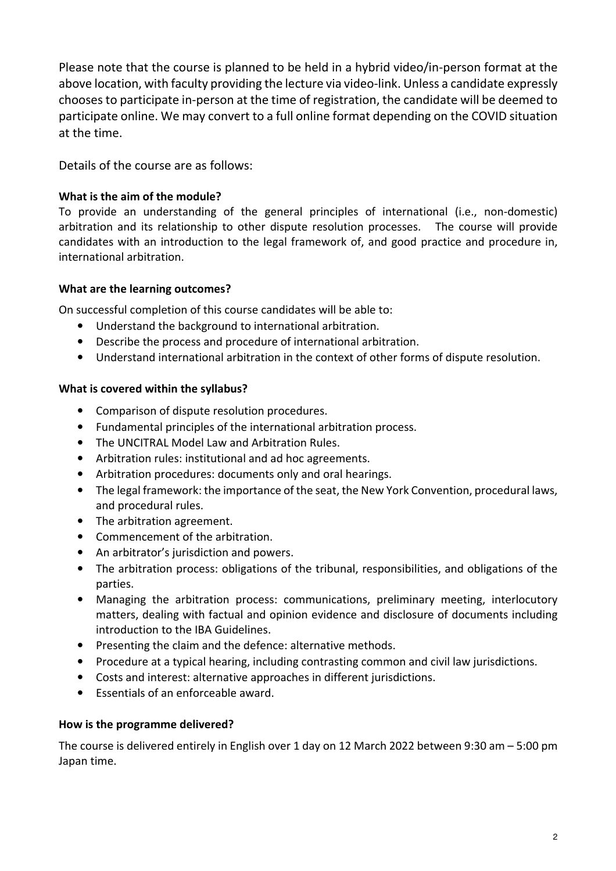Please note that the course is planned to be held in a hybrid video/in-person format at the above location, with faculty providing the lecture via video-link. Unless a candidate expressly chooses to participate in-person at the time of registration, the candidate will be deemed to participate online. We may convert to a full online format depending on the COVID situation at the time.

Details of the course are as follows:

# **What is the aim of the module?**

To provide an understanding of the general principles of international (i.e., non-domestic) arbitration and its relationship to other dispute resolution processes. The course will provide candidates with an introduction to the legal framework of, and good practice and procedure in, international arbitration.

# **What are the learning outcomes?**

On successful completion of this course candidates will be able to:

- Understand the background to international arbitration.
- Describe the process and procedure of international arbitration.
- Understand international arbitration in the context of other forms of dispute resolution.

# **What is covered within the syllabus?**

- Comparison of dispute resolution procedures.
- Fundamental principles of the international arbitration process.
- The UNCITRAL Model Law and Arbitration Rules.
- Arbitration rules: institutional and ad hoc agreements.
- Arbitration procedures: documents only and oral hearings.
- The legal framework: the importance of the seat, the New York Convention, procedural laws, and procedural rules.
- The arbitration agreement.
- Commencement of the arbitration.
- An arbitrator's jurisdiction and powers.
- The arbitration process: obligations of the tribunal, responsibilities, and obligations of the parties.
- Managing the arbitration process: communications, preliminary meeting, interlocutory matters, dealing with factual and opinion evidence and disclosure of documents including introduction to the IBA Guidelines.
- Presenting the claim and the defence: alternative methods.
- Procedure at a typical hearing, including contrasting common and civil law jurisdictions.
- Costs and interest: alternative approaches in different jurisdictions.
- Essentials of an enforceable award.

# **How is the programme delivered?**

The course is delivered entirely in English over 1 day on 12 March 2022 between 9:30 am – 5:00 pm Japan time.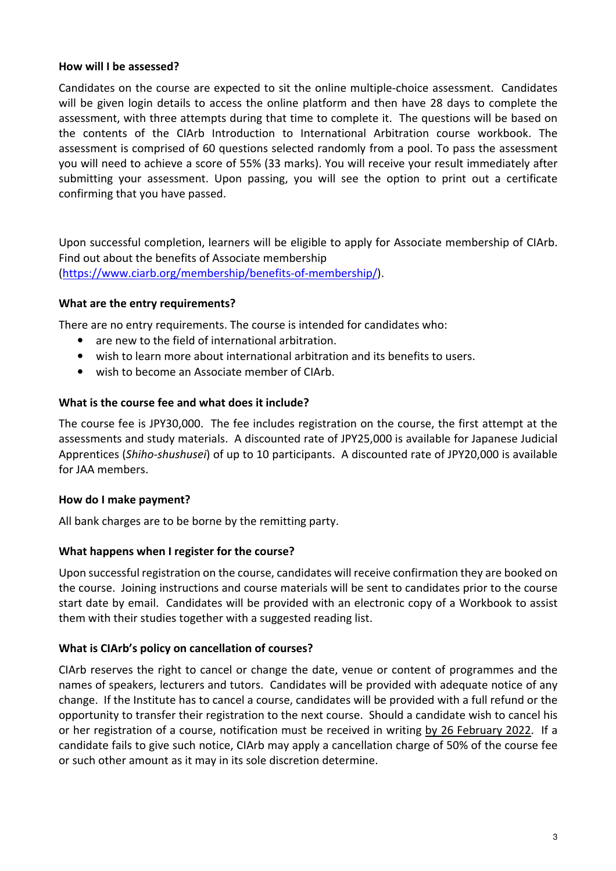## **How will I be assessed?**

Candidates on the course are expected to sit the online multiple-choice assessment. Candidates will be given login details to access the online platform and then have 28 days to complete the assessment, with three attempts during that time to complete it. The questions will be based on the contents of the CIArb Introduction to International Arbitration course workbook. The assessment is comprised of 60 questions selected randomly from a pool. To pass the assessment you will need to achieve a score of 55% (33 marks). You will receive your result immediately after submitting your assessment. Upon passing, you will see the option to print out a certificate confirming that you have passed.

Upon successful completion, learners will be eligible to apply for Associate membership of CIArb. Find out about the benefits of Associate membership (https://www.ciarb.org/membership/benefits-of-membership/).

# **What are the entry requirements?**

There are no entry requirements. The course is intended for candidates who:

- are new to the field of international arbitration.
- wish to learn more about international arbitration and its benefits to users.
- wish to become an Associate member of CIArb.

## **What is the course fee and what does it include?**

The course fee is JPY30,000. The fee includes registration on the course, the first attempt at the assessments and study materials. A discounted rate of JPY25,000 is available for Japanese Judicial Apprentices (*Shiho-shushusei*) of up to 10 participants. A discounted rate of JPY20,000 is available for JAA members.

## **How do I make payment?**

All bank charges are to be borne by the remitting party.

## **What happens when I register for the course?**

Upon successful registration on the course, candidates will receive confirmation they are booked on the course. Joining instructions and course materials will be sent to candidates prior to the course start date by email. Candidates will be provided with an electronic copy of a Workbook to assist them with their studies together with a suggested reading list.

## **What is CIArb's policy on cancellation of courses?**

CIArb reserves the right to cancel or change the date, venue or content of programmes and the names of speakers, lecturers and tutors. Candidates will be provided with adequate notice of any change. If the Institute has to cancel a course, candidates will be provided with a full refund or the opportunity to transfer their registration to the next course. Should a candidate wish to cancel his or her registration of a course, notification must be received in writing by 26 February 2022. If a candidate fails to give such notice, CIArb may apply a cancellation charge of 50% of the course fee or such other amount as it may in its sole discretion determine.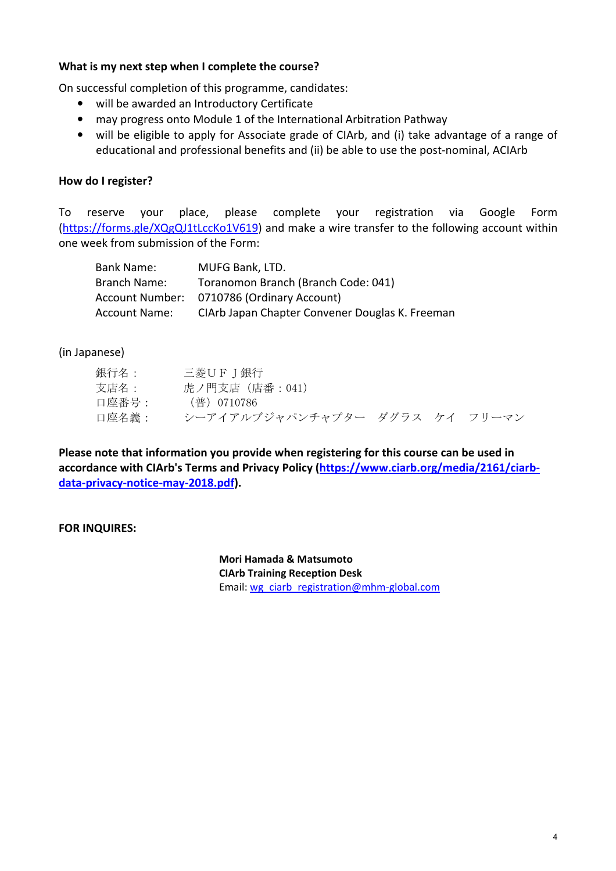## **What is my next step when I complete the course?**

On successful completion of this programme, candidates:

- will be awarded an Introductory Certificate
- may progress onto Module 1 of the International Arbitration Pathway
- will be eligible to apply for Associate grade of CIArb, and (i) take advantage of a range of educational and professional benefits and (ii) be able to use the post-nominal, ACIArb

# **How do I register?**

To reserve your place, please complete your registration via Google Form (https://forms.gle/XQgQJ1tLccKo1V619) and make a wire transfer to the following account within one week from submission of the Form:

| Bank Name:           | MUFG Bank, LTD.                                 |
|----------------------|-------------------------------------------------|
| Branch Name:         | Toranomon Branch (Branch Code: 041)             |
|                      | Account Number: 0710786 (Ordinary Account)      |
| <b>Account Name:</b> | CIArb Japan Chapter Convener Douglas K. Freeman |

(in Japanese)

| 銀行名:  | 三菱UFJ銀行                        |  |  |
|-------|--------------------------------|--|--|
| 支店名:  | 虎ノ門支店(店番:041)                  |  |  |
| 口座番号: | (普)0710786                     |  |  |
| 口座名義: | シーアイアルブジャパンチャプター ダグラス ケイ フリーマン |  |  |

**Please note that information you provide when registering for this course can be used in accordance with CIArb's Terms and Privacy Policy (https://www.ciarb.org/media/2161/ciarbdata-privacy-notice-may-2018.pdf).** 

**FOR INQUIRES:** 

**Mori Hamada & Matsumoto CIArb Training Reception Desk**  Email: wg\_ciarb\_registration@mhm-global.com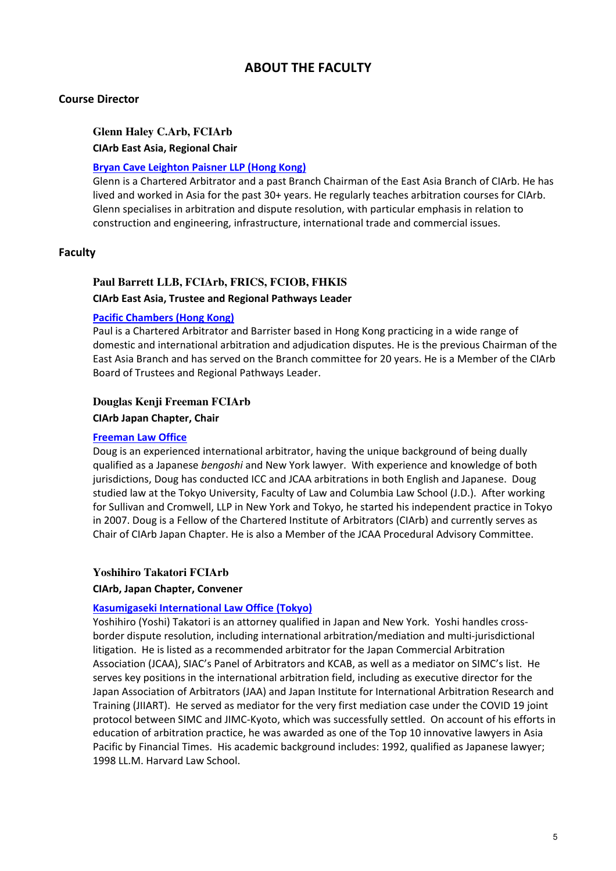# **ABOUT THE FACULTY**

## **Course Director**

## **Glenn Haley C.Arb, FCIArb CIArb East Asia, Regional Chair**

### **Bryan Cave Leighton Paisner LLP (Hong Kong)**

Glenn is a Chartered Arbitrator and a past Branch Chairman of the East Asia Branch of CIArb. He has lived and worked in Asia for the past 30+ years. He regularly teaches arbitration courses for CIArb. Glenn specialises in arbitration and dispute resolution, with particular emphasis in relation to construction and engineering, infrastructure, international trade and commercial issues.

### **Faculty**

## **Paul Barrett LLB, FCIArb, FRICS, FCIOB, FHKIS CIArb East Asia, Trustee and Regional Pathways Leader**

#### **Pacific Chambers (Hong Kong)**

Paul is a Chartered Arbitrator and Barrister based in Hong Kong practicing in a wide range of domestic and international arbitration and adjudication disputes. He is the previous Chairman of the East Asia Branch and has served on the Branch committee for 20 years. He is a Member of the CIArb Board of Trustees and Regional Pathways Leader.

### **Douglas Kenji Freeman FCIArb**

**CIArb Japan Chapter, Chair** 

#### **Freeman Law Office**

Doug is an experienced international arbitrator, having the unique background of being dually qualified as a Japanese *bengoshi* and New York lawyer. With experience and knowledge of both jurisdictions, Doug has conducted ICC and JCAA arbitrations in both English and Japanese. Doug studied law at the Tokyo University, Faculty of Law and Columbia Law School (J.D.). After working for Sullivan and Cromwell, LLP in New York and Tokyo, he started his independent practice in Tokyo in 2007. Doug is a Fellow of the Chartered Institute of Arbitrators (CIArb) and currently serves as Chair of CIArb Japan Chapter. He is also a Member of the JCAA Procedural Advisory Committee.

#### **Yoshihiro Takatori FCIArb**

#### **CIArb, Japan Chapter, Convener**

#### **Kasumigaseki International Law Office (Tokyo)**

Yoshihiro (Yoshi) Takatori is an attorney qualified in Japan and New York. Yoshi handles crossborder dispute resolution, including international arbitration/mediation and multi-jurisdictional litigation. He is listed as a recommended arbitrator for the Japan Commercial Arbitration Association (JCAA), SIAC's Panel of Arbitrators and KCAB, as well as a mediator on SIMC's list. He serves key positions in the international arbitration field, including as executive director for the Japan Association of Arbitrators (JAA) and Japan Institute for International Arbitration Research and Training (JIIART). He served as mediator for the very first mediation case under the COVID 19 joint protocol between SIMC and JIMC-Kyoto, which was successfully settled. On account of his efforts in education of arbitration practice, he was awarded as one of the Top 10 innovative lawyers in Asia Pacific by Financial Times. His academic background includes: 1992, qualified as Japanese lawyer; 1998 LL.M. Harvard Law School.